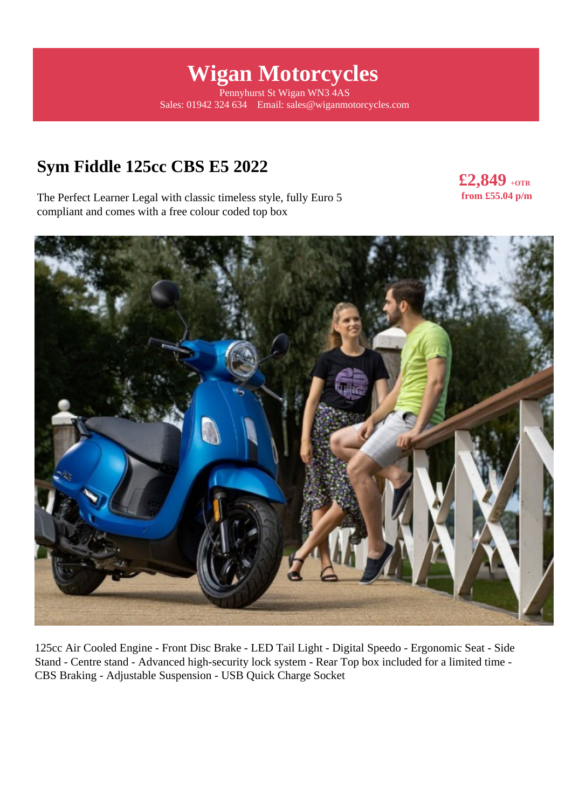# **Wigan Motorcycles**

Pennyhurst St Wigan WN3 4AS Sales: 01942 324 634 Email: sales@wiganmotorcycles.com

# **Sym Fiddle 125cc CBS E5 2022**

The Perfect Learner Legal with classic timeless style, fully Euro 5 compliant and comes with a free colour coded top box





125cc Air Cooled Engine - Front Disc Brake - LED Tail Light - Digital Speedo - Ergonomic Seat - Side Stand - Centre stand - Advanced high-security lock system - Rear Top box included for a limited time - CBS Braking - Adjustable Suspension - USB Quick Charge Socket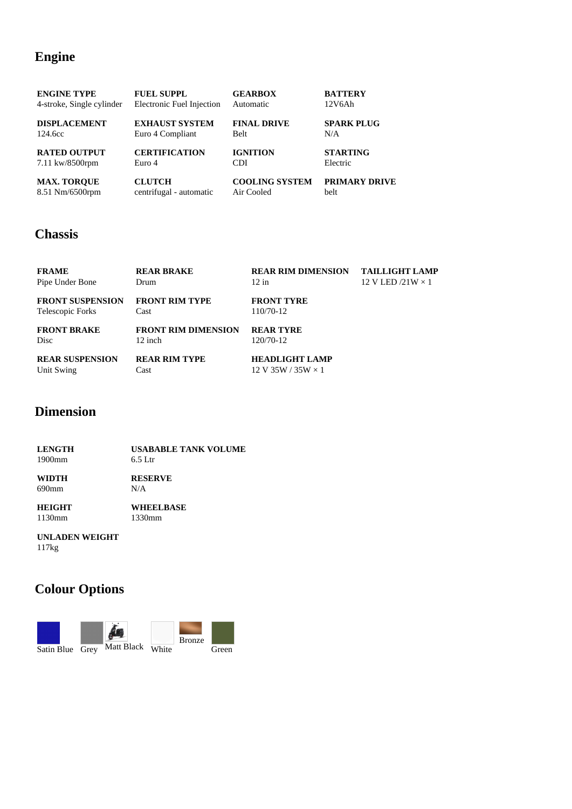## **Engine**

| <b>ENGINE TYPE</b>        | <b>FUEL SUPPL</b>         | <b>GEARBOX</b>        | <b>BATTERY</b>       |
|---------------------------|---------------------------|-----------------------|----------------------|
| 4-stroke, Single cylinder | Electronic Fuel Injection | Automatic             | 12V6Ah               |
| <b>DISPLACEMENT</b>       | <b>EXHAUST SYSTEM</b>     | <b>FINAL DRIVE</b>    | <b>SPARK PLUG</b>    |
| 124.6cc                   | Euro 4 Compliant          | <b>Belt</b>           | N/A                  |
| <b>RATED OUTPUT</b>       | <b>CERTIFICATION</b>      | <b>IGNITION</b>       | <b>STARTING</b>      |
| 7.11 kw/8500rpm           | Euro 4                    | CDI                   | Electric             |
| <b>MAX. TOROUE</b>        | <b>CLUTCH</b>             | <b>COOLING SYSTEM</b> | <b>PRIMARY DRIVE</b> |
| 8.51 Nm/6500rpm           | centrifugal - automatic   | Air Cooled            | belt                 |

#### **Chassis**

| <b>FRAME</b>            | <b>REAR BRAKE</b>          | <b>REAR RIM DIMENSION</b>                          | <b>TAILLIGHT LAMP</b>    |
|-------------------------|----------------------------|----------------------------------------------------|--------------------------|
| Pipe Under Bone         | Drum                       | $12$ in                                            | 12 V LED $/21W \times 1$ |
| <b>FRONT SUSPENSION</b> | <b>FRONT RIM TYPE</b>      | <b>FRONT TYRE</b>                                  |                          |
| Telescopic Forks        | Cast                       | 110/70-12                                          |                          |
| <b>FRONT BRAKE</b>      | <b>FRONT RIM DIMENSION</b> | <b>REAR TYRE</b>                                   |                          |
| Disc                    | $12$ inch                  | 120/70-12                                          |                          |
| <b>REAR SUSPENSION</b>  | <b>REAR RIM TYPE</b>       | <b>HEADLIGHT LAMP</b>                              |                          |
| Unit Swing              | Cast                       | $12 \text{ V } 35 \text{W} / 35 \text{W} \times 1$ |                          |

## **Dimension**

| <b>LENGTH</b> | <b>USABABLE TANK VOLUME</b> |  |
|---------------|-----------------------------|--|
| $1900$ mm     | $6.5$ Ltr                   |  |
| <b>WIDTH</b>  | <b>RESERVE</b>              |  |
| 690mm         | N/A                         |  |
| <b>HEIGHT</b> | <b>WHEELBASE</b>            |  |

1330mm

1130mm

#### **UNLADEN WEIGHT**

117kg

# **Colour Options**